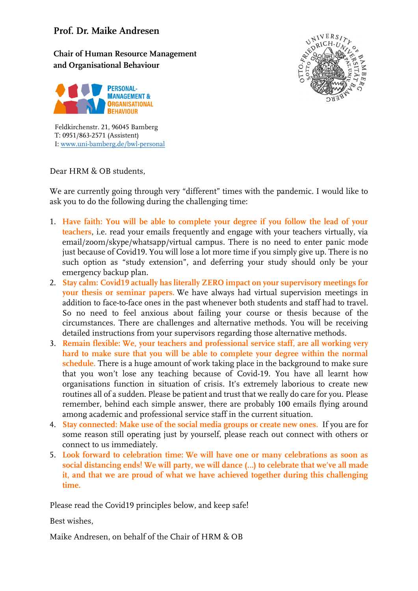## **Prof. Dr. Maike Andresen**

**Chair of Human Resource Management and Organisational Behaviour**





Feldkirchenstr. 21, 96045 Bamberg T: 0951/863-2571 (Assistent) I[: www.uni-bamberg.de/bwl-personal](http://www.uni-bamberg.de/bwl-personal)

Dear HRM & OB students,

We are currently going through very "different" times with the pandemic. I would like to ask you to do the following during the challenging time:

- 1. **Have faith: You will be able to complete your degree if you follow the lead of your teachers**, i.e. read your emails frequently and engage with your teachers virtually, via email/zoom/skype/whatsapp/virtual campus. There is no need to enter panic mode just because of Covid19. You will lose a lot more time if you simply give up. There is no such option as "study extension", and deferring your study should only be your emergency backup plan.
- 2. **Stay calm: Covid19 actually has literally ZERO impact on your supervisory meetings for your thesis or seminar papers.** We have always had virtual supervision meetings in addition to face-to-face ones in the past whenever both students and staff had to travel. So no need to feel anxious about failing your course or thesis because of the circumstances. There are challenges and alternative methods. You will be receiving detailed instructions from your supervisors regarding those alternative methods.
- 3. **Remain flexible: We, your teachers and professional service staff, are all working very hard to make sure that you will be able to complete your degree within the normal schedule.** There is a huge amount of work taking place in the background to make sure that you won't lose any teaching because of Covid-19. You have all learnt how organisations function in situation of crisis. It's extremely laborious to create new routines all of a sudden. Please be patient and trust that we really do care for you. Please remember, behind each simple answer, there are probably 100 emails flying around among academic and professional service staff in the current situation.
- 4. **Stay connected: Make use of the social media groups or create new ones.** If you are for some reason still operating just by yourself, please reach out connect with others or connect to us immediately.
- 5. **Look forward to celebration time: We will have one or many celebrations as soon as social distancing ends! We will party, we will dance (…) to celebrate that we've all made it, and that we are proud of what we have achieved together during this challenging time.**

Please read the Covid19 principles below, and keep safe!

Best wishes,

Maike Andresen, on behalf of the Chair of HRM & OB